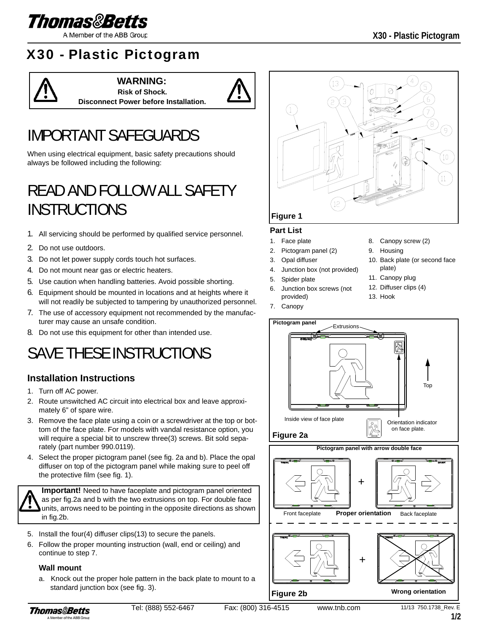

A Member of the ABB Group

### X30 - Plastic Pictogram



**WARNING: Risk of Shock. Disconnect Power before Installation.**



# IMPORTANT SAFEGUARDS

When using electrical equipment, basic safety precautions should always be followed including the following:

# READ AND FOLLOW ALL SAFETY **INSTRUCTIONS**

- 1. All servicing should be performed by qualified service personnel.
- 2. Do not use outdoors.
- 3. Do not let power supply cords touch hot surfaces.
- 4. Do not mount near gas or electric heaters.
- 5. Use caution when handling batteries. Avoid possible shorting.
- 6. Equipment should be mounted in locations and at heights where it will not readily be subjected to tampering by unauthorized personnel.
- 7. The use of accessory equipment not recommended by the manufacturer may cause an unsafe condition.
- 8. Do not use this equipment for other than intended use.

### SAVE THESE INSTRUCTIONS

#### **Installation Instructions**

- 1. Turn off AC power.
- 2. Route unswitched AC circuit into electrical box and leave approximately 6" of spare wire.
- 3. Remove the face plate using a coin or a screwdriver at the top or bottom of the face plate. For models with vandal resistance option, you will require a special bit to unscrew three(3) screws. Bit sold separately (part number 990.0119).
- 4. Select the proper pictogram panel (see fig. 2a and b). Place the opal diffuser on top of the pictogram panel while making sure to peel off the protective film (see fig. 1).

**Important!** Need to have faceplate and pictogram panel oriented as per fig.2a and b with the two extrusions on top. For double face units, arrows need to be pointing in the opposite directions as shown in fig.2b.

- 5. Install the four(4) diffuser clips(13) to secure the panels.
- 6. Follow the proper mounting instruction (wall, end or ceiling) and continue to step 7.

#### **Wall mount**

a. Knock out the proper hole pattern in the back plate to mount to a standard junction box (see fig. 3).



#### **Part List**

- 1. Face plate
- 2. Pictogram panel (2)
- 3. Opal diffuser
- 4. Junction box (not provided)
- 5. Spider plate
- Junction box screws (not provided)
- 7. Canopy
- 8. Canopy screw (2)
- 9. Housing
- 10. Back plate (or second face plate)
- 11. Canopy plug
- 12. Diffuser clips (4)
- 13. Hook



**Figure 2b**

**Wrong orientation**